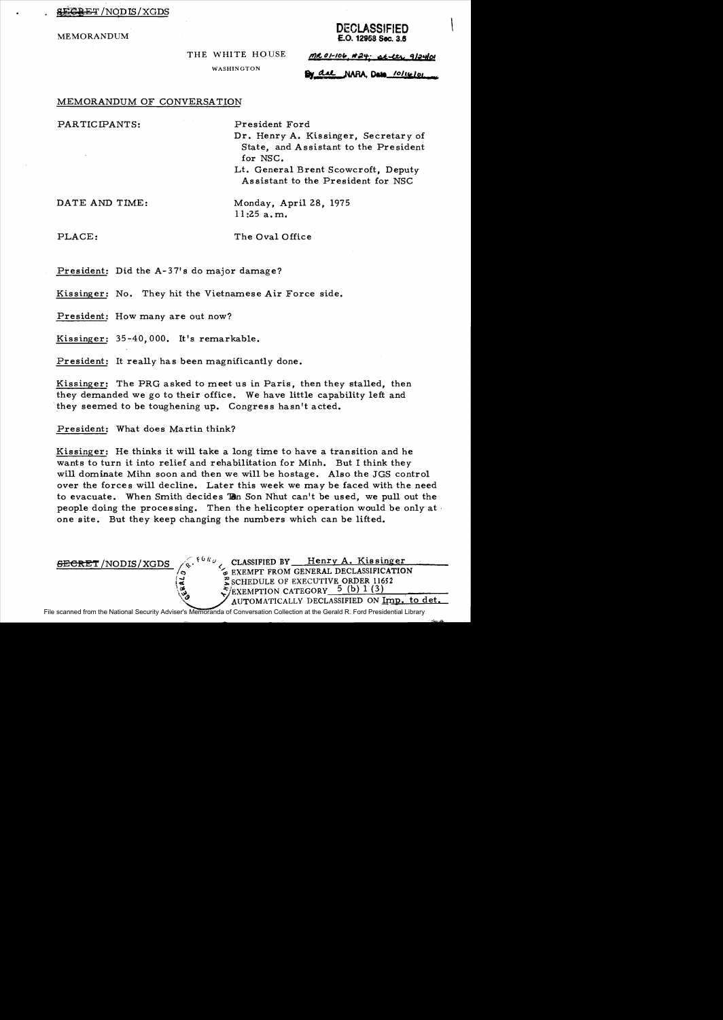E<del>GRET</del> /NODIS/XGDS

# DECLASSIFIED MEMORANDUM **E.O.** 12958 Sec. 3.6

THE WHITE HOUSE

WASHINGTON

 $MC0-106$ ,  $H24$ ; at  $U1$ , 9/24/01

By dal NARA Data 10/16/01

## MEMORANDUM OF CONVERSATION

PARTICIPANTS: President Ford

Dr. Henry A. Kissinger, Secretary of State, and Assistant to the President for NSC.

Lt. General Brent Scowcroft, Deputy As sistant to the President for NSC

DATE AND TIME: Monday, April 28, 1975  $11:25$  a.m.

PLACE: The Oval Office

President: Did the A-37's do major damage?

Kissinger: No. They hit the Vietnamese Air Force side.

President: How many are out now?

Kissinger: 35-40,000. It's remarkable.

President: It really has been magnificantly done.

Kissinger: The PRG asked to meet us in Paris, then they stalled, then they demanded we go to their office. We have little capability left and they seemed to be toughening up. Congress hasn't acted.

President: What does Martin think?

Kissinger: He thinks it will take a long time to have a transition and he wants to turn it into relief and rehabilitation for Minh. But I think they will dominate Mihn soon and then we will be hostage. Also the JGS control over the forces will decline. Later this week we may be faced with the need to evacuate. When Smith decides To Son Nhut can't be used, we pull out the people doing the processing. Then the helicopter operation would be only at  $\cdot$ one site. But they keep changing the numbers which can be lifted.

 $\frac{\text{SEERET}}{\text{NODIS}}/\text{XGDS}$  (s.  $10Rv$  CLASSIFIED BY Henry A. Kissinger EXEMPT FROM GENERAL DECLASSIFICATION GEXEMPT FROM GENERAL DECLASSIFICATE:<br> $\frac{3}{8}$  SCHEDULE OF EXECUTIVE ORDER 11652  $/$ EXEMPTION CATEGORY  $5$  (b) 1 (3)  $\rm \mathbb{Z}\rm$  schedule of executive order 11652<br> $\rm \mathbb{Z}/_{EXEMP}$ ion category  $\rm \mathbb{Z}/_{b})$  1 (3)<br> $\rm \mathbb{Z}/_{AUTOMATICALY}$  declassified on Imp. to det.

File scanned from the National Security Adviser's Memoranda of Conversation Collection at the Gerald R. Ford Presidential Library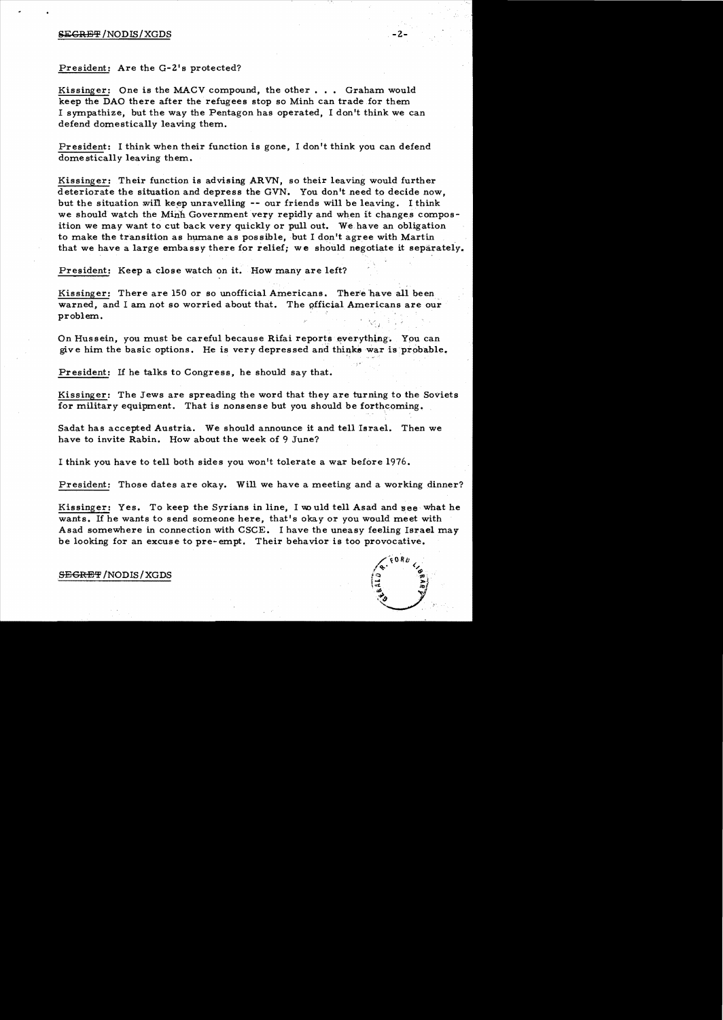### $SEGREF/NODIS/XGDS$  .  $-2$

President: Are the G-2's protected?

Kissinger: One is the MACV compound, the other... Graham would keep the DAO there after the refugees stop so Minh can trade for them I sympathize, but the way the Pentagon has operated. I don't think we can defend domestically leaving them.

President: I think when their function is gone, I don't think you can defend domestically leaving them.

Kissinger: Their function is advising ARVN, so their leaving would further deteriorate the situation and depress the GVN. You don't need to decide now, but the situation will keep unravelling  $-$ - our friends will be leaving. I think we should watch the Minh Government very repidly and when it changes composition we may want to cut back very quickly or pullout. We. have an obligation to make the transition as humane as possible, but I don't agree with Martin that we have a large embassy there for relief; we should negotiate it separately.

President: Keep a close watch on it. How many are left?

Kissinger: There are 150 or so unofficial Americans. There have all been warned, and I am not so worried about that. The official Americans are our problem.

On Hussein, you must be careful because Rifai reports everything. You can give him the basic options. He is very depressed and thinks war is probable.

President: If he talks to Congress, he should say that.

Kissinger: The Jews are spreading the word that they are turning to the Soviets for military equipment. That is nonsense but you should be forthcoming.

Sadat has accepted Austria. We should announce it and tell Israel. Then we have to invite Rabin. How about the week of 9 June?

I think you have to tell both sides you won't tolerate a war before 1976.

President: Those dates are okay. Will we have a meeting and a working dinner?

Kissinger: Yes. To keep the Syrians in line, I would tell Asad and see what he wants. If he wants to send someone here, that's okay or you would meet with Asad somewhere in connection with CSCE. I have the uneasy feeling Israel may be looking for an excuse to pre-empt. Their behavior is too provocative.

> $\sqrt{70}$   $R_{B}$   $\sqrt{2}$  $/$  (  $/$

 $\left| \begin{matrix} \frac{1}{2} & \frac{1}{2} \\ \frac{1}{2} & \frac{1}{2} \end{matrix} \right|$  $\ddot{v}_s$ 

S<del>EGRET</del>/NODIS/XGDS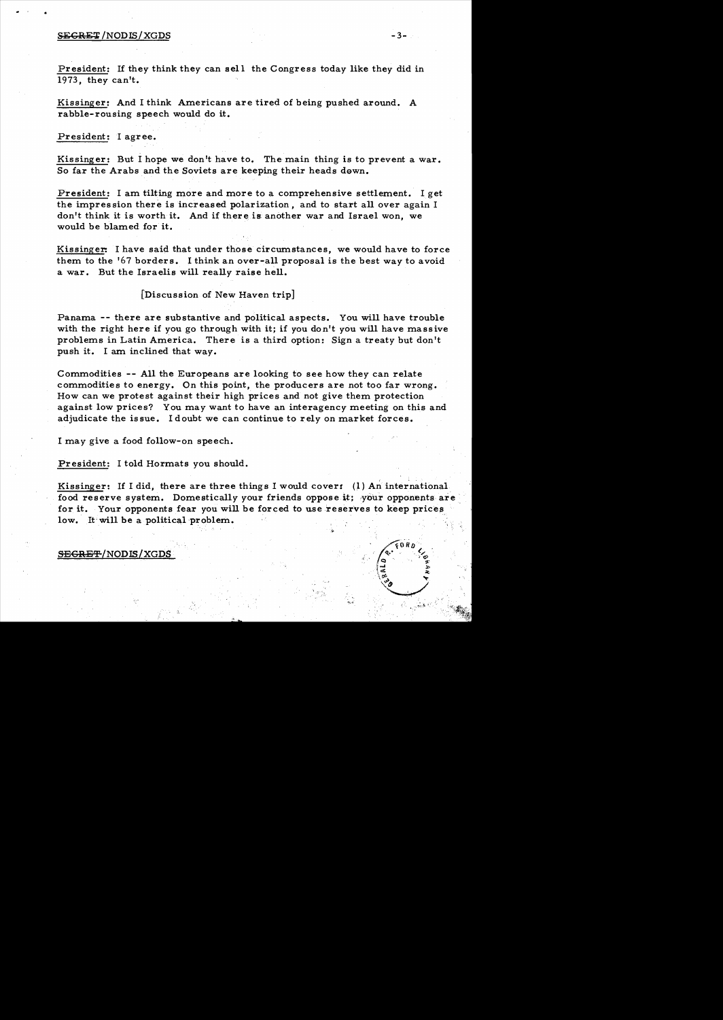### $SEGREF/NODIS/XGDS$  -3- $-3-3-3$

President: If they think they can sell the Congress today like they did in 1973, they can't.

Kissinger: And I think Americans are tired of being pushed around. A rabble-rousing speech would do it.

President: I agree.

Kissinger: But I hope we don't have to. The main thing is to prevent a war. So far the Arabs and the Soviets are keeping their heads down.

President: I am tilting more and more to a comprehensive settlement. I get the impression there is increased polarization, and to start all over again I don't think it is worth it. And if there is another war and Israel won, we would be blamed for it.

Kissinger: I have said that under those circumstances, we would have to force them to the '67 borders. I think an over-all proposal is the best way to avoid a war. But the Israelis will really raise hell.

### [Discussion of New Haven trip]

Panama -- there are substantive and political aspects. You will have trouble with the right here if you go through with it; if you don't you will have massive problems in Latin America. There is a third option: Sign a treaty but don't push it. I am inclined that way.

Commodities -- All the Europeans are looking to see how they can relate commodities to energy. On this point, the producers are not too far wrong. How can we protest against their high prices and not give them protection against low prices? You may want to have an interagency meeting on this and adjudicate the issue. I doubt we can continue to rely on market forces.

I may give a food follow-on speech.

President: I told Hormats you should.

Kissinger: If I did, there are three things I would cover:  $(1)$  An international food reserve system. Domestically your friends oppose it; your opponents are, for it. Your opponents fear you will be forced to use reserves to keep prices low. It will be a political problem.

"I.',

SEGRET/NODIS/XGDS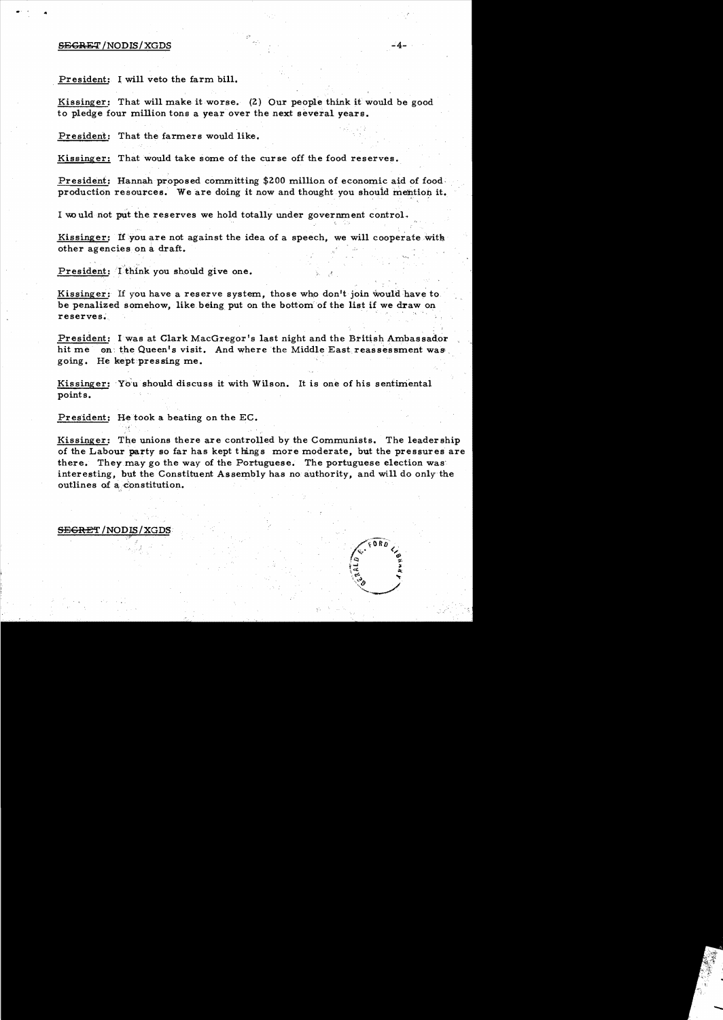#### S<del>ECRET</del> /NODIS/XGDS -4-

.. , ..

President: I will veto the farm bill.

Kissinger: That will make it worse. (2) Our people think it would be good to pledge four million tons a year over the next several years.

President: That the farmers would like.

Kissinger: That would take some of the curse off the food reserves.

President: Hannah proposed committing \$200 million of economic aid of food production resources. We are doing it now and thought you should mention it.

I would not put the reserves we hold totally under government control.

Kissinger: If you are not against the idea of a speech, we will cooperate with I would not put the reserves we hold totally under government contro<br>Kissinger: If you are not against the idea of a speech, we will coope<br>other agencies on a draft.

President: I think you should give one.

Kissinger: If you have a reserve system, those who don't join would have to be penalized somehow, like being put on the bottom of the list if we draw on reserves.

President: I was at Clark MacGregor's last night and the British Ambassador hit me on the Queen's visit. And where the Middle East reassessment was. going. He kept~pressing me.

Kissinger: You should discuss it with Wilson. It is one of his sentimental points.

President: He took a beating on the EC.

Kissinger: The unions there are controlled by the Communists. The leadership of the Labour party so far has kept things more moderate, but the pressures are there. They.may go the way of the Portuguese. The portuguese election was' interesting, but the Constituent Assembly has no authority, and will do only the outlines of a constitution.

#### S<del>EGRE</del>T/NODIS/XGDS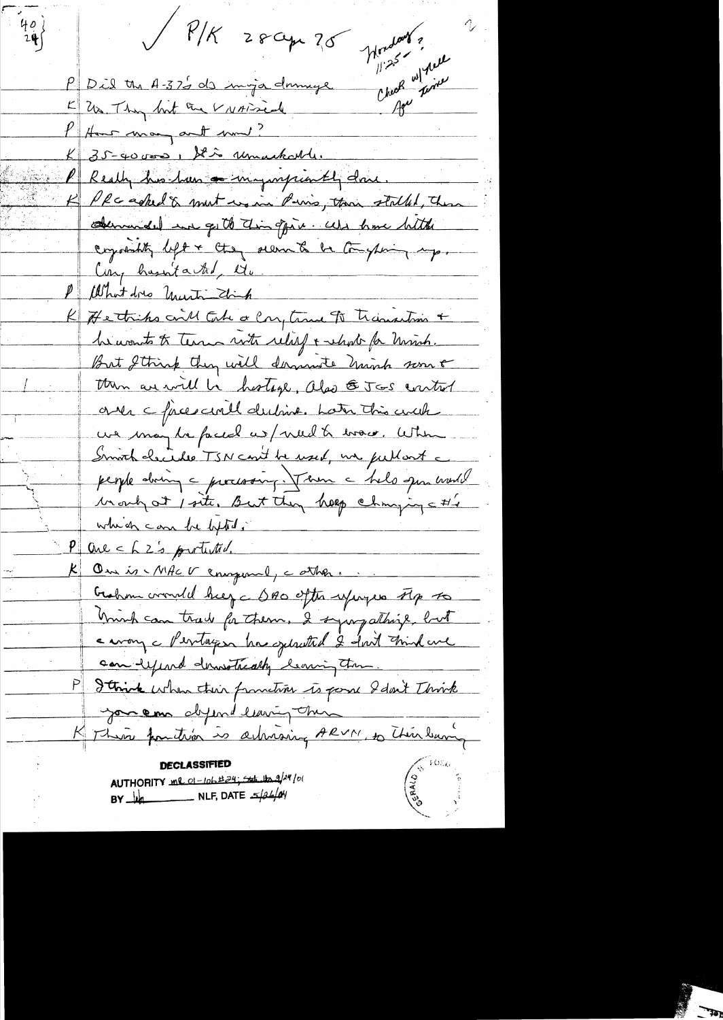$\sqrt{P/K}$  28 apr  $25$  $\frac{40}{24}$ Monday ? Check w/ point PD il the A-37's de inga dominge K Us They but the VNATICAL P How many and mm! K 35-40000 , Stio unackarde. PReach his haw a mympionth done.  $\overline{\mathcal{L}}$ PRC asked & mut wo in Paris, then stalked, then obenunded in get to this opin. We have bitte crystality left + they seem to be transferring up. Con, husuita tot, Mr. What does United think K He this could take a Cong time of Transaction + he wants to term with relief & whole for minh. But I think they will derniete hinch some then are will be hostage, also & JGS control ones cfaces avill dubint. Later this arch. us may be faced us/ viel to wave. When Smith checides TSN cont be used, un publisht a people doing a processing. Them a help open would Mongot / site, But they help changing a #/ which can be lifted. One ch 2's protected. On is - MACV compound, cather ... Graham corruled help a DAO often refugees Flp to minh can trade for them, I sympathize, but carony c Pentagen has sylvated 2 fort Frink are can expert demotrically bearing then P Janick when their function is point I don't Think you em diferrel leuring them K This familiar is achinoing ARVN, to Thin bury AUTHORITY me of-lob #24; set the 9/24/01  $BY$   $\frac{1}{4}$  NLF, DATE  $\frac{1}{4}$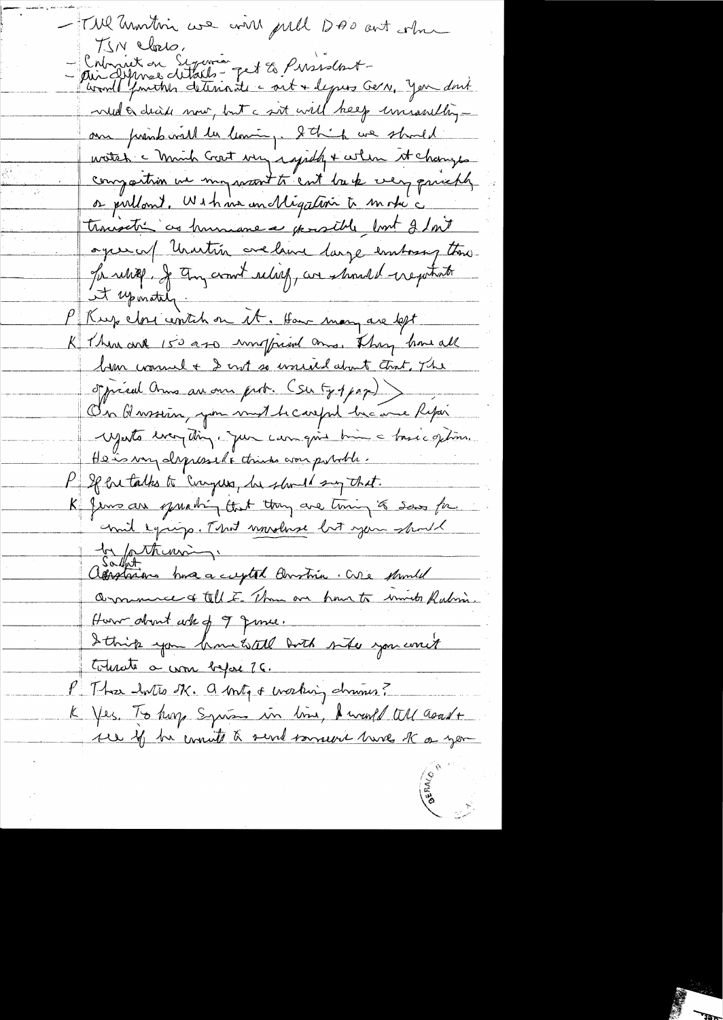- TWI Unorthin we will publ DAO ant when - Crimier en Syamon pet 2 Pirisdont -<br>- Au Alpines ditails - pet 2 Pirisdont -<br>- Au Alpines ditails - pet 2 Pirisdont wed a dead now, but a sit will help universibly au print vill la lemin, tot it we should watch a minh Grat very iggilly + when it changes compartion we mywant to cut back very principly or pullant, Within un Migation to motic trousation as humanese possible but 2 but ages of Unartin crelane large emboring the Sa relief, Je Any commit relief, are should exeptate it uponataly P Rup close contin on it. How many are left K There are 150 apo montpried and They have all lim wound + I not so wound about that, The of pried and an our prov. (Su Gopper) On Hassin, you mut heareful he are Report Mesto ever din, jun campois bien a bosé options. He is very depressed to think worr putable. P If he talks to Curgus, he should say that. K Jems are quanting that they are timing to saw for mil equip. That unrelaxe but you should by puthing. appartir has a cuptal Anstria. Cure should Overnmerce of tell E. Than one hour to immete Rabin. How don't who of I give. Ittrick you have tall both site you writ tomate a com before 26. P This hotes SK. a brity of working chrones? K Yes. To hop Syrian in time, I would tell asout +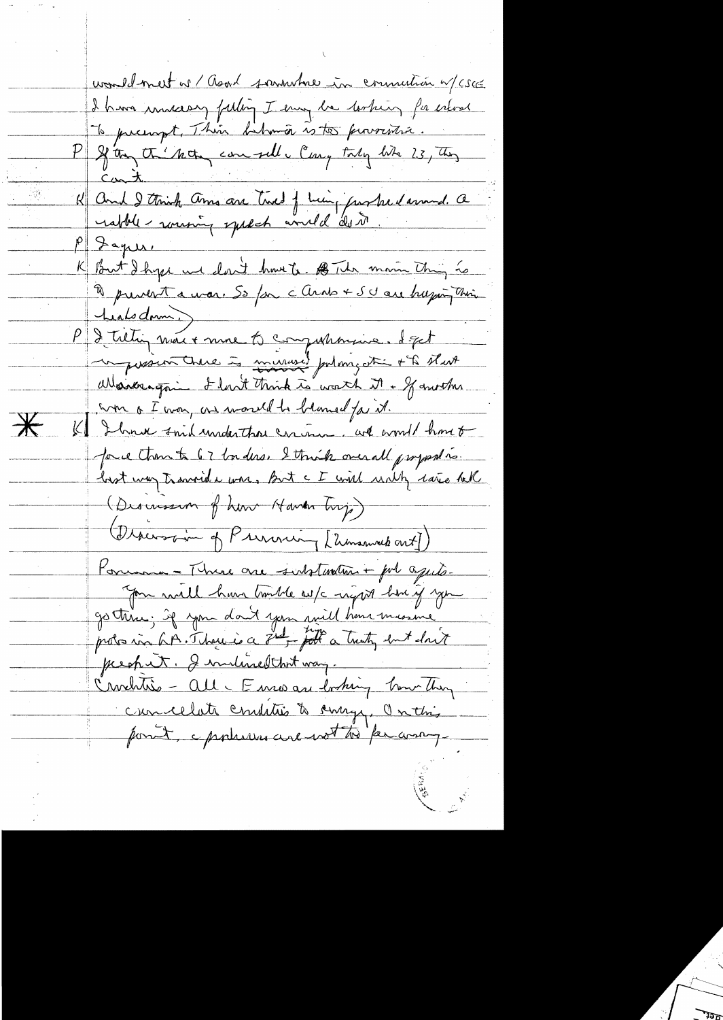would meet a / Good sammener in commution w/cscc I have innecessy faiting I emig be tooking for error To prempt, This behman is too proventie.<br>P 28 the the compeller Cany taky bits 73, they Cant. K And I think am are twee f him, parked around. a rabble-rousing speech would do it.  $\rho \gg \Delta \gamma$ K But I hype we don't have to BT the morn thing to heals donn. P de tietin maix mon to comparancie. Sept Warbergon I lout think to worth it + If another won of was, as world to blamed for it.  $\overline{\mathbf{r}}$ K I have said under those circuit we would have to pour than to 67 borders. I think over all programs. hast way travered a war, But a I will write rate hell (Descussion of how Haven buy) Discover of Previous (Elmannehout) Porument - Thure are substantin + pol aguts. Jon will have touble w/c night how if you prechit. I indired that way. Crochtée - all- Enris au bosting bour they cuncelate conditions de surge, Onthis pont, epopeses are not to per anny.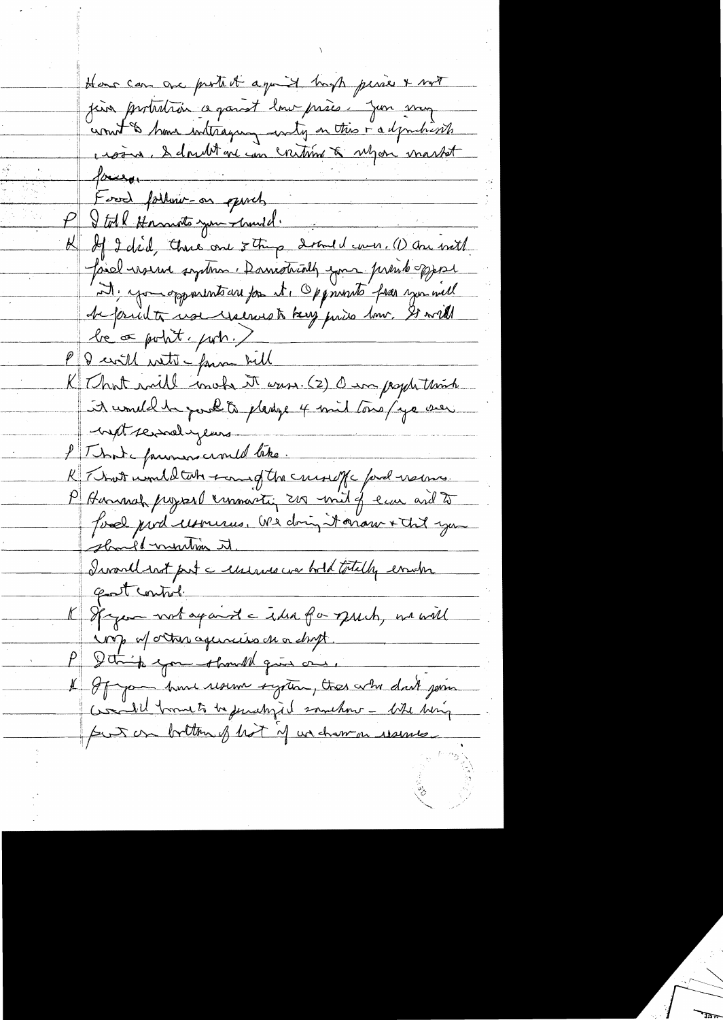Have can are protect ago it hast perses & not juin protestair ce parat lour prises. Jun my count & home interaging wity on this i adjunctions crosin. I doubt are un creation & ubjoin market  $10 - 10$ Food farling-on quich Stolk Hormoto you church. If I did, there are 5 thing 2 and I wer. (1) are with Joiel reserve system : Damotrially your prend opport M. you opportnt are for it, Oppmonto from you will be print use reserved key pris how. It will be or point, port.) P & cwill with - form bell K That will inche it was. (2) O in pople think it would be post to please 4 mil tous/ye wer with serval years l'Imme farimers crould lette. R That would take town of the curve of and nems. P Hennah project commartin 200 mil of law and to fond pour monder dois doit de monsieur should murtin it. Irvarll with prot a unique we hold totally empre gast control. K Spager wrt apart a the for puch, we will sorp of orture agenciers on or dropt. Ithink you thought give one. If If you have resume system, there who don't join Contil formeto be jurishid somehow - Whe being put on bottom of hot of undown usuale